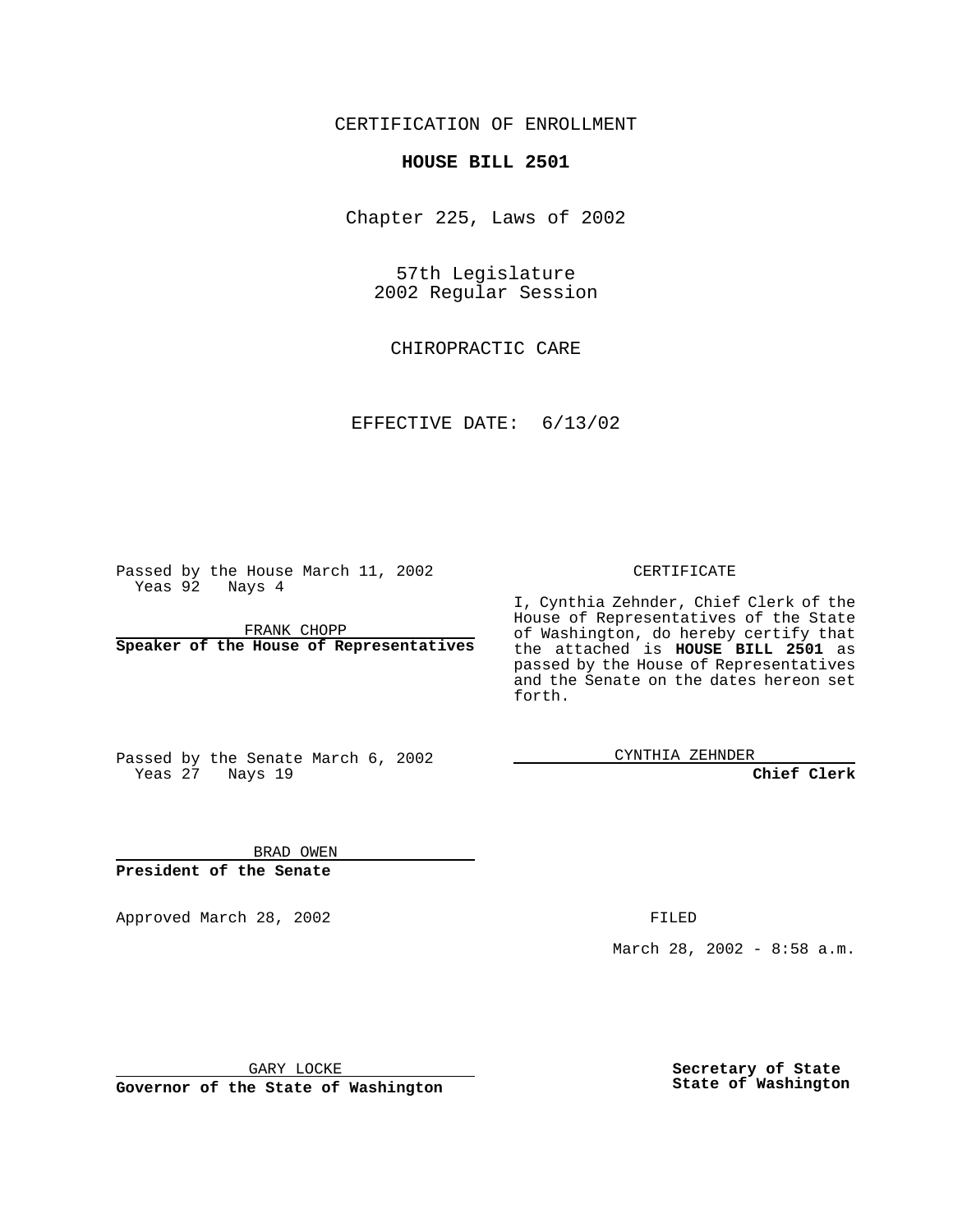CERTIFICATION OF ENROLLMENT

# **HOUSE BILL 2501**

Chapter 225, Laws of 2002

57th Legislature 2002 Regular Session

CHIROPRACTIC CARE

EFFECTIVE DATE: 6/13/02

Passed by the House March 11, 2002 Yeas 92 Nays 4

FRANK CHOPP **Speaker of the House of Representatives**

#### CERTIFICATE

I, Cynthia Zehnder, Chief Clerk of the House of Representatives of the State of Washington, do hereby certify that the attached is **HOUSE BILL 2501** as passed by the House of Representatives and the Senate on the dates hereon set forth.

Passed by the Senate March 6, 2002 Yeas 27 Nays 19

CYNTHIA ZEHNDER

**Chief Clerk**

BRAD OWEN **President of the Senate**

Approved March 28, 2002 **FILED** 

March 28, 2002 - 8:58 a.m.

GARY LOCKE

**Governor of the State of Washington**

**Secretary of State State of Washington**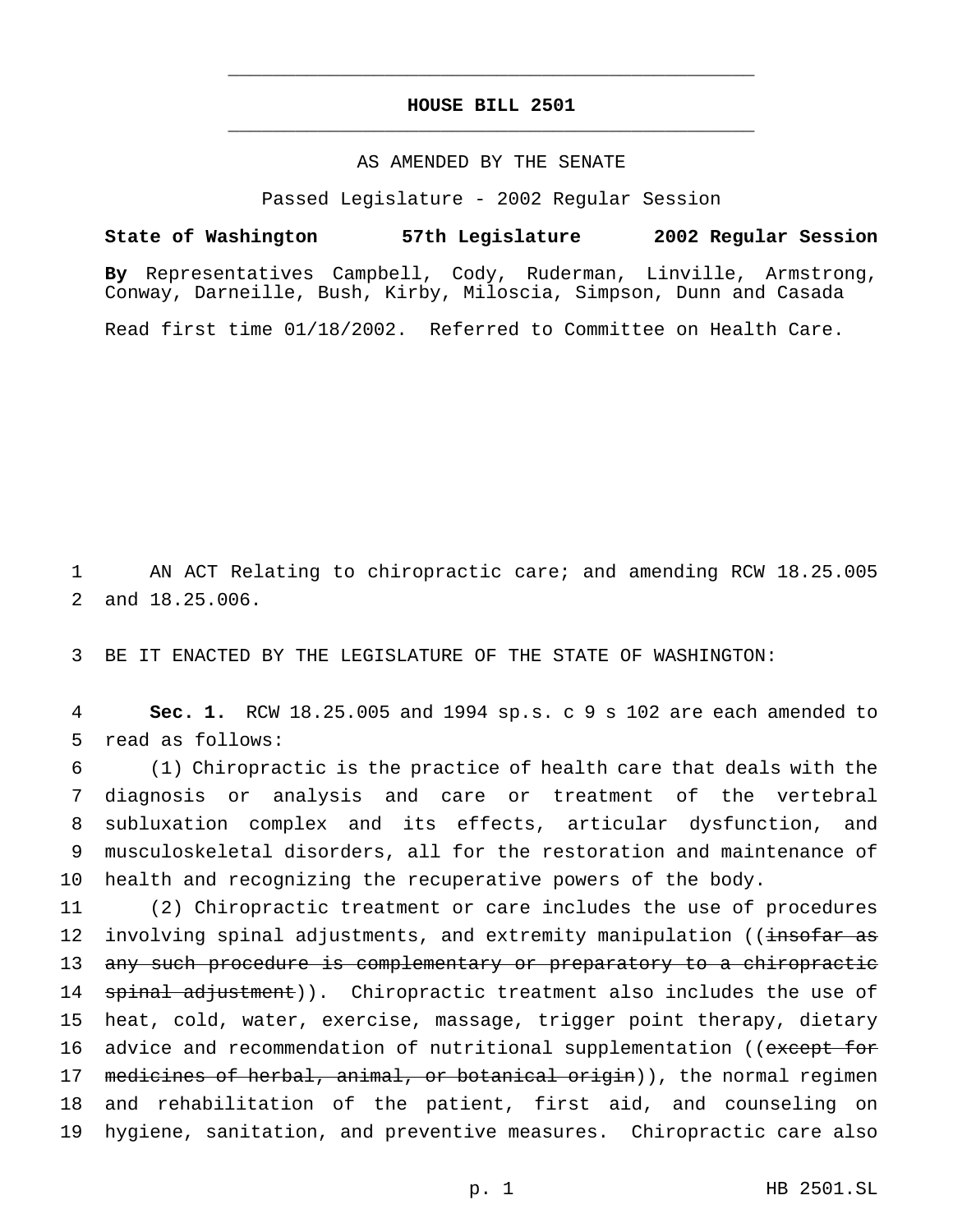# **HOUSE BILL 2501** \_\_\_\_\_\_\_\_\_\_\_\_\_\_\_\_\_\_\_\_\_\_\_\_\_\_\_\_\_\_\_\_\_\_\_\_\_\_\_\_\_\_\_\_\_\_\_

\_\_\_\_\_\_\_\_\_\_\_\_\_\_\_\_\_\_\_\_\_\_\_\_\_\_\_\_\_\_\_\_\_\_\_\_\_\_\_\_\_\_\_\_\_\_\_

### AS AMENDED BY THE SENATE

Passed Legislature - 2002 Regular Session

#### **State of Washington 57th Legislature 2002 Regular Session**

**By** Representatives Campbell, Cody, Ruderman, Linville, Armstrong, Conway, Darneille, Bush, Kirby, Miloscia, Simpson, Dunn and Casada

Read first time 01/18/2002. Referred to Committee on Health Care.

1 AN ACT Relating to chiropractic care; and amending RCW 18.25.005 2 and 18.25.006.

3 BE IT ENACTED BY THE LEGISLATURE OF THE STATE OF WASHINGTON:

4 **Sec. 1.** RCW 18.25.005 and 1994 sp.s. c 9 s 102 are each amended to 5 read as follows:

 (1) Chiropractic is the practice of health care that deals with the diagnosis or analysis and care or treatment of the vertebral subluxation complex and its effects, articular dysfunction, and musculoskeletal disorders, all for the restoration and maintenance of health and recognizing the recuperative powers of the body.

11 (2) Chiropractic treatment or care includes the use of procedures 12 involving spinal adjustments, and extremity manipulation ((insofar as 13 any such procedure is complementary or preparatory to a chiropractic 14 spinal adjustment)). Chiropractic treatment also includes the use of 15 heat, cold, water, exercise, massage, trigger point therapy, dietary 16 advice and recommendation of nutritional supplementation ((except for 17 medicines of herbal, animal, or botanical origin)), the normal regimen 18 and rehabilitation of the patient, first aid, and counseling on 19 hygiene, sanitation, and preventive measures. Chiropractic care also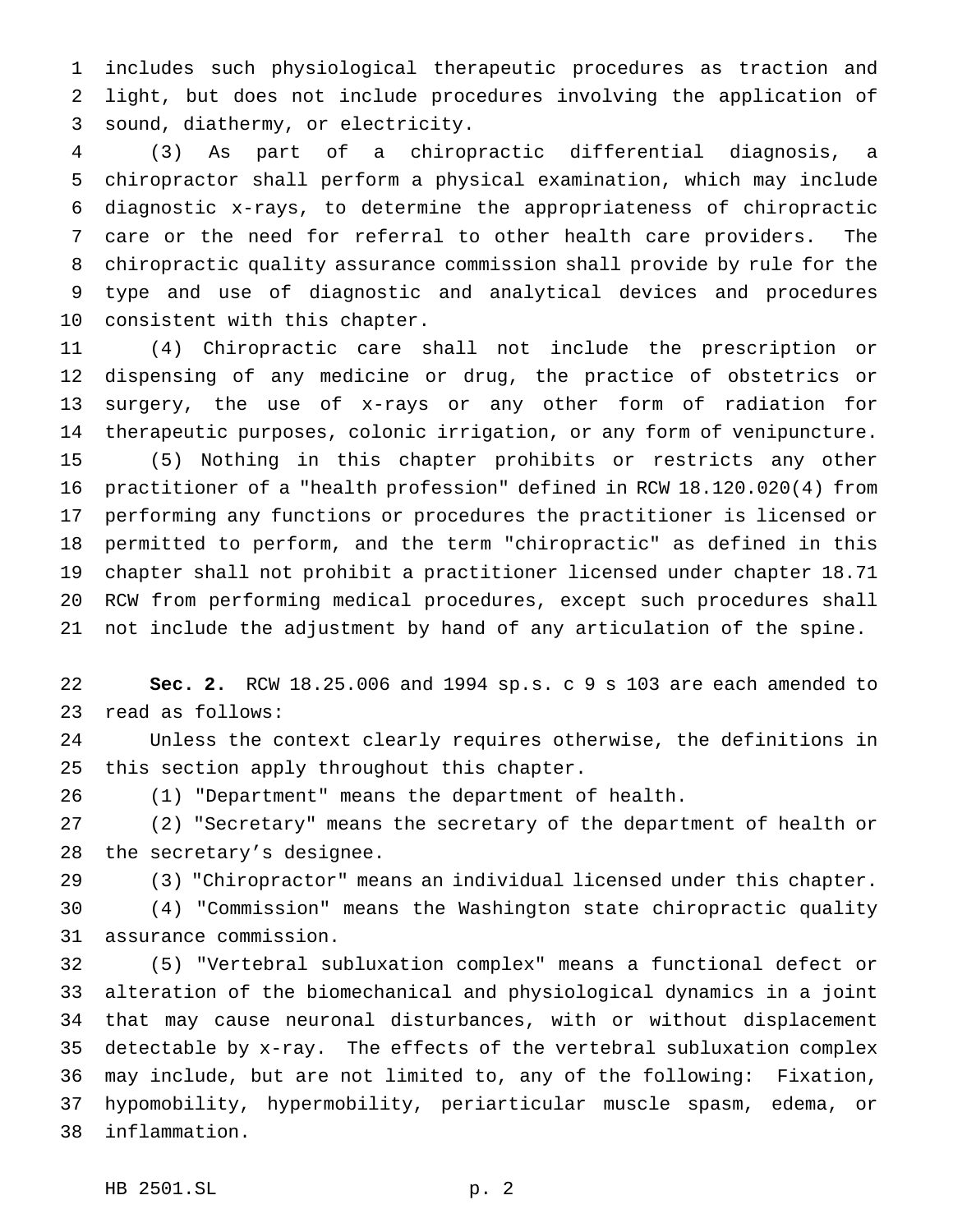includes such physiological therapeutic procedures as traction and light, but does not include procedures involving the application of sound, diathermy, or electricity.

 (3) As part of a chiropractic differential diagnosis, a chiropractor shall perform a physical examination, which may include diagnostic x-rays, to determine the appropriateness of chiropractic care or the need for referral to other health care providers. The chiropractic quality assurance commission shall provide by rule for the type and use of diagnostic and analytical devices and procedures consistent with this chapter.

 (4) Chiropractic care shall not include the prescription or dispensing of any medicine or drug, the practice of obstetrics or surgery, the use of x-rays or any other form of radiation for therapeutic purposes, colonic irrigation, or any form of venipuncture. (5) Nothing in this chapter prohibits or restricts any other practitioner of a "health profession" defined in RCW 18.120.020(4) from performing any functions or procedures the practitioner is licensed or permitted to perform, and the term "chiropractic" as defined in this chapter shall not prohibit a practitioner licensed under chapter 18.71 RCW from performing medical procedures, except such procedures shall not include the adjustment by hand of any articulation of the spine.

 **Sec. 2.** RCW 18.25.006 and 1994 sp.s. c 9 s 103 are each amended to read as follows:

 Unless the context clearly requires otherwise, the definitions in this section apply throughout this chapter.

(1) "Department" means the department of health.

 (2) "Secretary" means the secretary of the department of health or the secretary's designee.

(3) "Chiropractor" means an individual licensed under this chapter.

 (4) "Commission" means the Washington state chiropractic quality assurance commission.

 (5) "Vertebral subluxation complex" means a functional defect or alteration of the biomechanical and physiological dynamics in a joint that may cause neuronal disturbances, with or without displacement detectable by x-ray. The effects of the vertebral subluxation complex may include, but are not limited to, any of the following: Fixation, hypomobility, hypermobility, periarticular muscle spasm, edema, or inflammation.